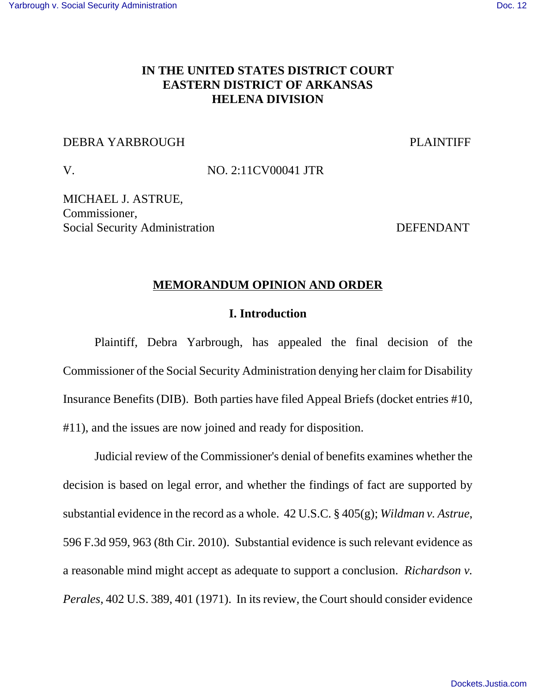# **IN THE UNITED STATES DISTRICT COURT EASTERN DISTRICT OF ARKANSAS HELENA DIVISION**

#### DEBRA YARBROUGH PLAINTIFF

V. NO. 2:11CV00041 JTR

MICHAEL J. ASTRUE, Commissioner, Social Security Administration DEFENDANT

#### **MEMORANDUM OPINION AND ORDER**

#### **I. Introduction**

Plaintiff, Debra Yarbrough, has appealed the final decision of the Commissioner of the Social Security Administration denying her claim for Disability Insurance Benefits (DIB). Both parties have filed Appeal Briefs (docket entries #10, #11), and the issues are now joined and ready for disposition.

Judicial review of the Commissioner's denial of benefits examines whether the decision is based on legal error, and whether the findings of fact are supported by substantial evidence in the record as a whole. 42 U.S.C. § 405(g); *Wildman v. Astrue*, 596 F.3d 959, 963 (8th Cir. 2010). Substantial evidence is such relevant evidence as a reasonable mind might accept as adequate to support a conclusion. *Richardson v. Perales*, 402 U.S. 389, 401 (1971). In its review, the Court should consider evidence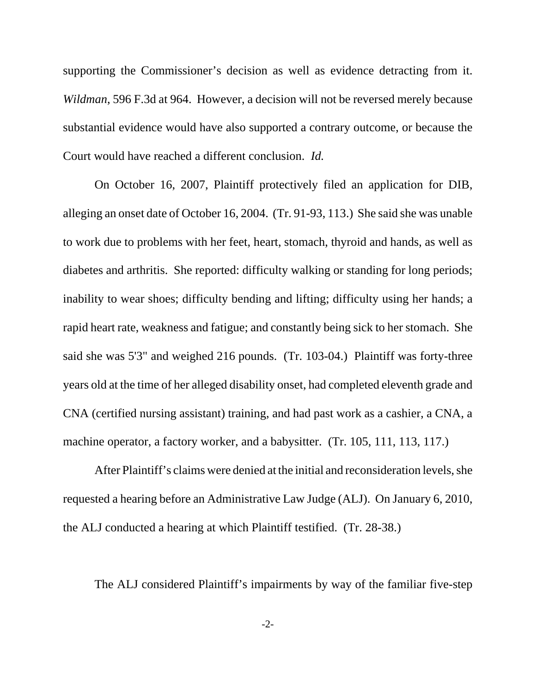supporting the Commissioner's decision as well as evidence detracting from it. *Wildman*, 596 F.3d at 964. However, a decision will not be reversed merely because substantial evidence would have also supported a contrary outcome, or because the Court would have reached a different conclusion. *Id.*

On October 16, 2007, Plaintiff protectively filed an application for DIB, alleging an onset date of October 16, 2004. (Tr. 91-93, 113.) She said she was unable to work due to problems with her feet, heart, stomach, thyroid and hands, as well as diabetes and arthritis. She reported: difficulty walking or standing for long periods; inability to wear shoes; difficulty bending and lifting; difficulty using her hands; a rapid heart rate, weakness and fatigue; and constantly being sick to her stomach. She said she was 5'3" and weighed 216 pounds. (Tr. 103-04.) Plaintiff was forty-three years old at the time of her alleged disability onset, had completed eleventh grade and CNA (certified nursing assistant) training, and had past work as a cashier, a CNA, a machine operator, a factory worker, and a babysitter. (Tr. 105, 111, 113, 117.)

After Plaintiff's claims were denied at the initial and reconsideration levels, she requested a hearing before an Administrative Law Judge (ALJ). On January 6, 2010, the ALJ conducted a hearing at which Plaintiff testified. (Tr. 28-38.)

The ALJ considered Plaintiff's impairments by way of the familiar five-step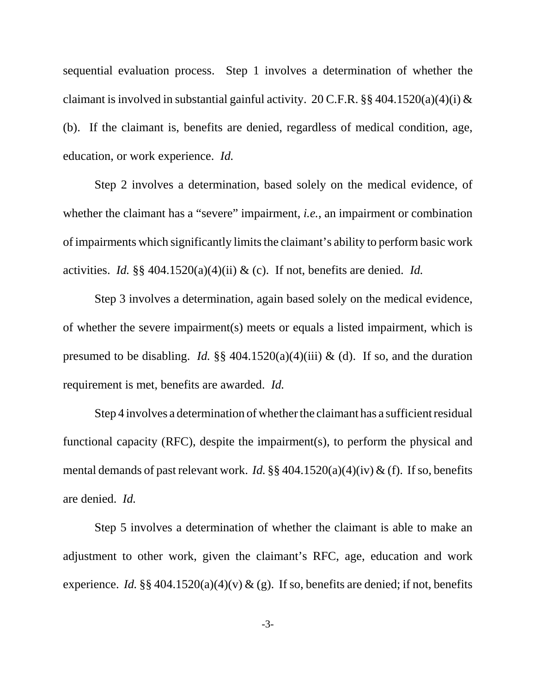sequential evaluation process. Step 1 involves a determination of whether the claimant is involved in substantial gainful activity. 20 C.F.R.  $\S$ § 404.1520(a)(4)(i) & (b). If the claimant is, benefits are denied, regardless of medical condition, age, education, or work experience. *Id.*

Step 2 involves a determination, based solely on the medical evidence, of whether the claimant has a "severe" impairment, *i.e.*, an impairment or combination of impairments which significantly limits the claimant's ability to perform basic work activities. *Id.* §§ 404.1520(a)(4)(ii) & (c). If not, benefits are denied. *Id.*

Step 3 involves a determination, again based solely on the medical evidence, of whether the severe impairment(s) meets or equals a listed impairment, which is presumed to be disabling. *Id.*  $\S$ § 404.1520(a)(4)(iii) & (d). If so, and the duration requirement is met, benefits are awarded. *Id.*

Step 4 involves a determination of whether the claimant has a sufficient residual functional capacity (RFC), despite the impairment(s), to perform the physical and mental demands of past relevant work. *Id.* §§ 404.1520(a)(4)(iv) & (f). If so, benefits are denied. *Id.*

Step 5 involves a determination of whether the claimant is able to make an adjustment to other work, given the claimant's RFC, age, education and work experience. *Id.* §§ 404.1520(a)(4)(v) & (g). If so, benefits are denied; if not, benefits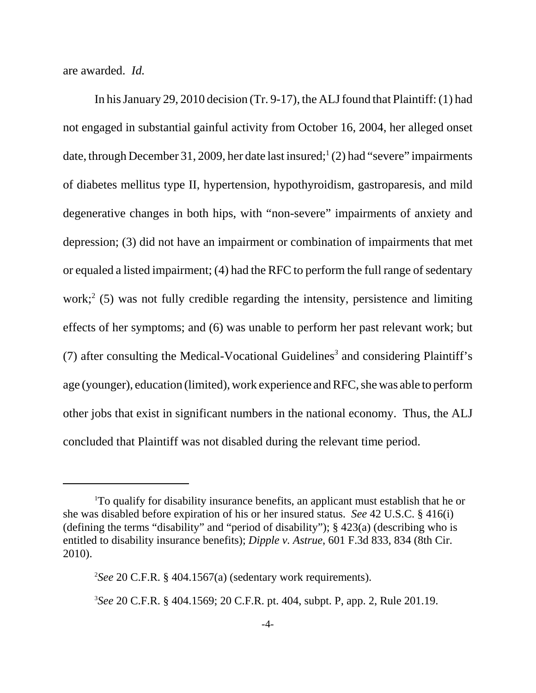are awarded. *Id.*

In his January 29, 2010 decision (Tr. 9-17), the ALJ found that Plaintiff: (1) had not engaged in substantial gainful activity from October 16, 2004, her alleged onset date, through December 31, 2009, her date last insured;<sup>1</sup> (2) had "severe" impairments of diabetes mellitus type II, hypertension, hypothyroidism, gastroparesis, and mild degenerative changes in both hips, with "non-severe" impairments of anxiety and depression; (3) did not have an impairment or combination of impairments that met or equaled a listed impairment; (4) had the RFC to perform the full range of sedentary work;<sup>2</sup> (5) was not fully credible regarding the intensity, persistence and limiting effects of her symptoms; and (6) was unable to perform her past relevant work; but (7) after consulting the Medical-Vocational Guidelines*<sup>3</sup>* and considering Plaintiff's age (younger), education (limited), work experience and RFC, she was able to perform other jobs that exist in significant numbers in the national economy. Thus, the ALJ concluded that Plaintiff was not disabled during the relevant time period.

<sup>1</sup>To qualify for disability insurance benefits, an applicant must establish that he or she was disabled before expiration of his or her insured status. *See* 42 U.S.C. § 416(i) (defining the terms "disability" and "period of disability"); § 423(a) (describing who is entitled to disability insurance benefits); *Dipple v. Astrue*, 601 F.3d 833, 834 (8th Cir. 2010).

<sup>2</sup>*See* 20 C.F.R. § 404.1567(a) (sedentary work requirements).

<sup>3</sup>*See* 20 C.F.R. § 404.1569; 20 C.F.R. pt. 404, subpt. P, app. 2, Rule 201.19.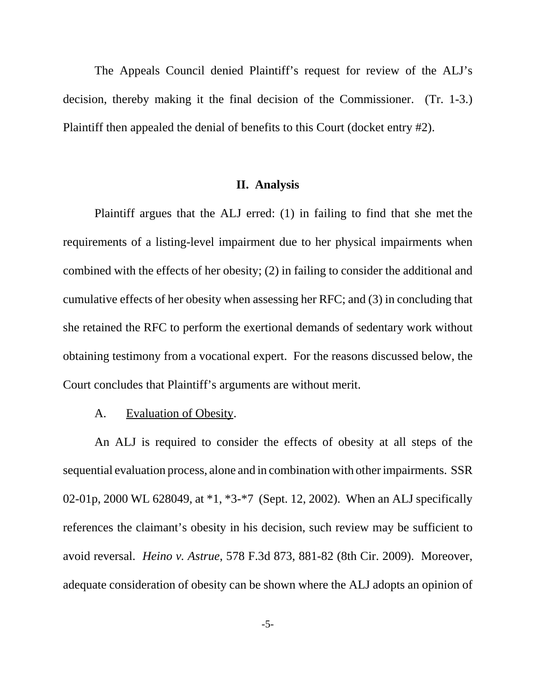The Appeals Council denied Plaintiff's request for review of the ALJ's decision, thereby making it the final decision of the Commissioner. (Tr. 1-3.) Plaintiff then appealed the denial of benefits to this Court (docket entry #2).

## **II. Analysis**

 Plaintiff argues that the ALJ erred: (1) in failing to find that she met the requirements of a listing-level impairment due to her physical impairments when combined with the effects of her obesity; (2) in failing to consider the additional and cumulative effects of her obesity when assessing her RFC; and (3) in concluding that she retained the RFC to perform the exertional demands of sedentary work without obtaining testimony from a vocational expert. For the reasons discussed below, the Court concludes that Plaintiff's arguments are without merit.

A. Evaluation of Obesity.

An ALJ is required to consider the effects of obesity at all steps of the sequential evaluation process, alone and in combination with other impairments. SSR 02-01p, 2000 WL 628049, at \*1, \*3-\*7 (Sept. 12, 2002). When an ALJ specifically references the claimant's obesity in his decision, such review may be sufficient to avoid reversal. *Heino v. Astrue*, 578 F.3d 873, 881-82 (8th Cir. 2009). Moreover, adequate consideration of obesity can be shown where the ALJ adopts an opinion of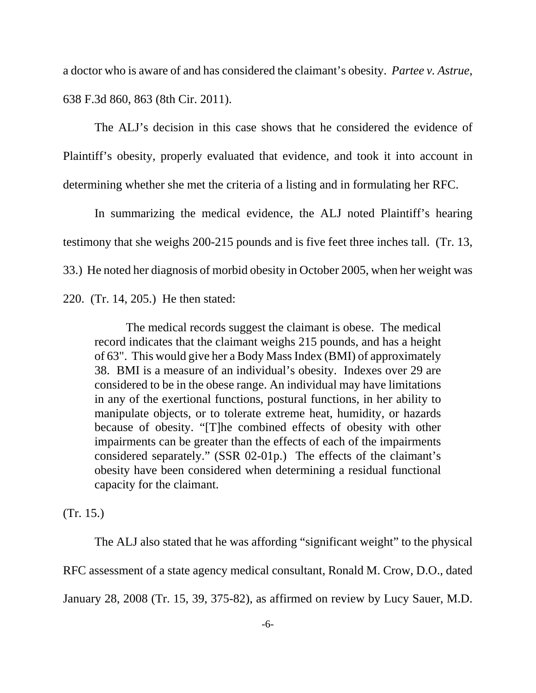a doctor who is aware of and has considered the claimant's obesity. *Partee v. Astrue*, 638 F.3d 860, 863 (8th Cir. 2011).

The ALJ's decision in this case shows that he considered the evidence of Plaintiff's obesity, properly evaluated that evidence, and took it into account in determining whether she met the criteria of a listing and in formulating her RFC.

In summarizing the medical evidence, the ALJ noted Plaintiff's hearing testimony that she weighs 200-215 pounds and is five feet three inches tall. (Tr. 13, 33.) He noted her diagnosis of morbid obesity in October 2005, when her weight was 220. (Tr. 14, 205.) He then stated:

The medical records suggest the claimant is obese. The medical record indicates that the claimant weighs 215 pounds, and has a height of 63". This would give her a Body Mass Index (BMI) of approximately 38. BMI is a measure of an individual's obesity. Indexes over 29 are considered to be in the obese range. An individual may have limitations in any of the exertional functions, postural functions, in her ability to manipulate objects, or to tolerate extreme heat, humidity, or hazards because of obesity. "[T]he combined effects of obesity with other impairments can be greater than the effects of each of the impairments considered separately." (SSR 02-01p.) The effects of the claimant's obesity have been considered when determining a residual functional capacity for the claimant.

(Tr. 15.)

The ALJ also stated that he was affording "significant weight" to the physical RFC assessment of a state agency medical consultant, Ronald M. Crow, D.O., dated January 28, 2008 (Tr. 15, 39, 375-82), as affirmed on review by Lucy Sauer, M.D.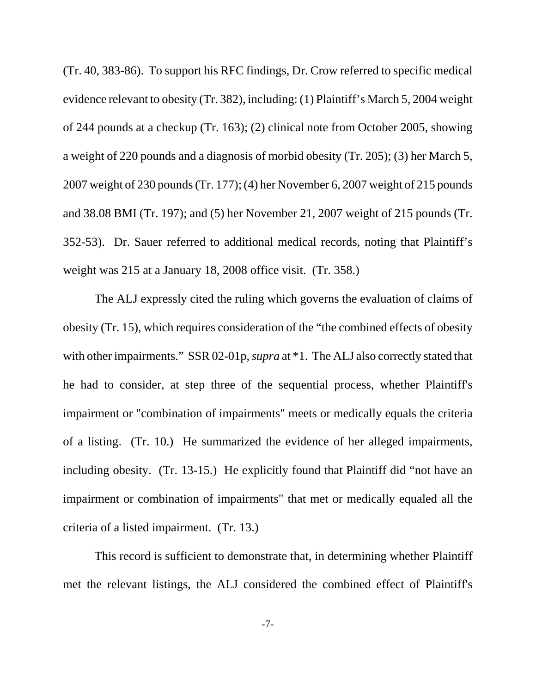(Tr. 40, 383-86). To support his RFC findings, Dr. Crow referred to specific medical evidence relevant to obesity (Tr. 382), including: (1) Plaintiff's March 5, 2004 weight of 244 pounds at a checkup (Tr. 163); (2) clinical note from October 2005, showing a weight of 220 pounds and a diagnosis of morbid obesity (Tr. 205); (3) her March 5, 2007 weight of 230 pounds (Tr. 177); (4) her November 6, 2007 weight of 215 pounds and 38.08 BMI (Tr. 197); and (5) her November 21, 2007 weight of 215 pounds (Tr. 352-53). Dr. Sauer referred to additional medical records, noting that Plaintiff's weight was 215 at a January 18, 2008 office visit. (Tr. 358.)

The ALJ expressly cited the ruling which governs the evaluation of claims of obesity (Tr. 15), which requires consideration of the "the combined effects of obesity with other impairments." SSR 02-01p, *supra* at \*1. The ALJ also correctly stated that he had to consider, at step three of the sequential process, whether Plaintiff's impairment or "combination of impairments" meets or medically equals the criteria of a listing. (Tr. 10.) He summarized the evidence of her alleged impairments, including obesity. (Tr. 13-15.) He explicitly found that Plaintiff did "not have an impairment or combination of impairments" that met or medically equaled all the criteria of a listed impairment. (Tr. 13.)

This record is sufficient to demonstrate that, in determining whether Plaintiff met the relevant listings, the ALJ considered the combined effect of Plaintiff's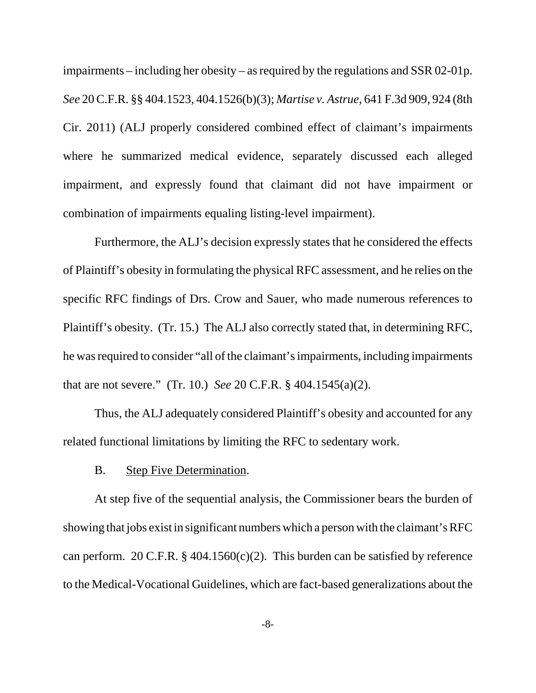impairments – including her obesity – as required by the regulations and SSR 02-01p. *See* 20 C.F.R. §§ 404.1523, 404.1526(b)(3); *Martise v. Astrue*, 641 F.3d 909, 924 (8th Cir. 2011) (ALJ properly considered combined effect of claimant's impairments where he summarized medical evidence, separately discussed each alleged impairment, and expressly found that claimant did not have impairment or combination of impairments equaling listing-level impairment).

Furthermore, the ALJ's decision expressly states that he considered the effects of Plaintiff's obesity in formulating the physical RFC assessment, and he relies on the specific RFC findings of Drs. Crow and Sauer, who made numerous references to Plaintiff's obesity. (Tr. 15.) The ALJ also correctly stated that, in determining RFC, he was required to consider "all of the claimant's impairments, including impairments that are not severe." (Tr. 10.) *See* 20 C.F.R. § 404.1545(a)(2).

Thus, the ALJ adequately considered Plaintiff's obesity and accounted for any related functional limitations by limiting the RFC to sedentary work.

B. Step Five Determination.

At step five of the sequential analysis, the Commissioner bears the burden of showing that jobs exist in significant numbers which a person with the claimant's RFC can perform. 20 C.F.R.  $\S$  404.1560(c)(2). This burden can be satisfied by reference to the Medical-Vocational Guidelines, which are fact-based generalizations about the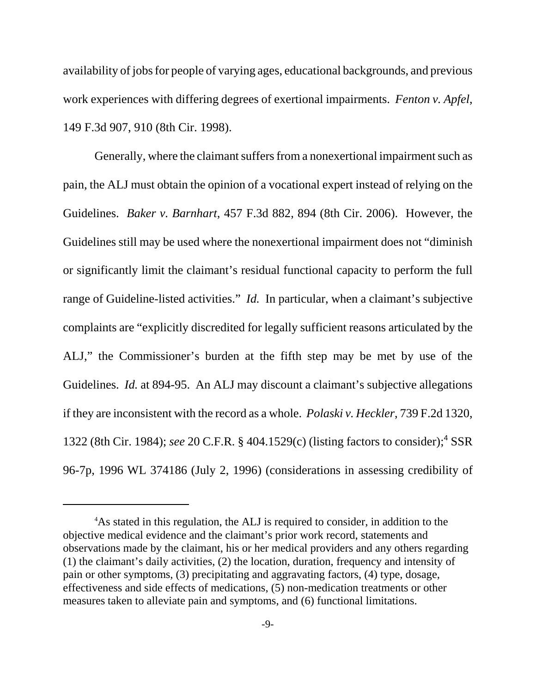availability of jobs for people of varying ages, educational backgrounds, and previous work experiences with differing degrees of exertional impairments. *Fenton v. Apfel*, 149 F.3d 907, 910 (8th Cir. 1998).

Generally, where the claimant suffers from a nonexertional impairment such as pain, the ALJ must obtain the opinion of a vocational expert instead of relying on the Guidelines. *Baker v. Barnhart*, 457 F.3d 882, 894 (8th Cir. 2006). However, the Guidelines still may be used where the nonexertional impairment does not "diminish or significantly limit the claimant's residual functional capacity to perform the full range of Guideline-listed activities." *Id.* In particular, when a claimant's subjective complaints are "explicitly discredited for legally sufficient reasons articulated by the ALJ," the Commissioner's burden at the fifth step may be met by use of the Guidelines. *Id.* at 894-95. An ALJ may discount a claimant's subjective allegations if they are inconsistent with the record as a whole. *Polaski v. Heckler*, 739 F.2d 1320, 1322 (8th Cir. 1984); see 20 C.F.R. § 404.1529(c) (listing factors to consider);<sup>4</sup> SSR 96-7p, 1996 WL 374186 (July 2, 1996) (considerations in assessing credibility of

<sup>4</sup>As stated in this regulation, the ALJ is required to consider, in addition to the objective medical evidence and the claimant's prior work record, statements and observations made by the claimant, his or her medical providers and any others regarding (1) the claimant's daily activities, (2) the location, duration, frequency and intensity of pain or other symptoms, (3) precipitating and aggravating factors, (4) type, dosage, effectiveness and side effects of medications, (5) non-medication treatments or other measures taken to alleviate pain and symptoms, and (6) functional limitations.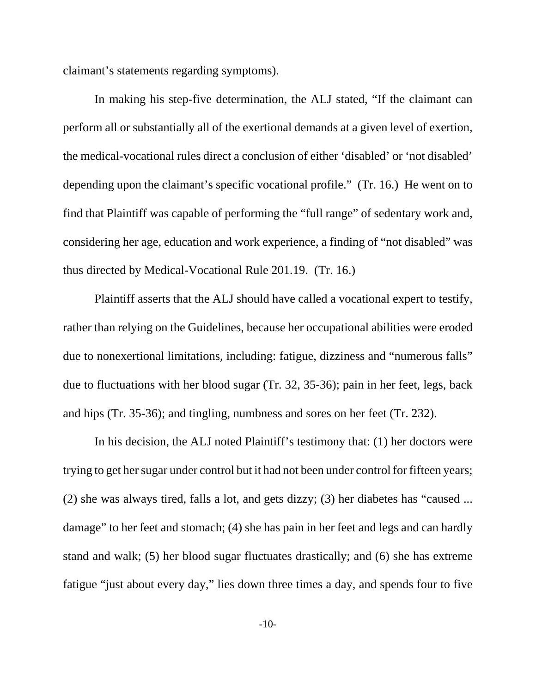claimant's statements regarding symptoms).

In making his step-five determination, the ALJ stated, "If the claimant can perform all or substantially all of the exertional demands at a given level of exertion, the medical-vocational rules direct a conclusion of either 'disabled' or 'not disabled' depending upon the claimant's specific vocational profile." (Tr. 16.) He went on to find that Plaintiff was capable of performing the "full range" of sedentary work and, considering her age, education and work experience, a finding of "not disabled" was thus directed by Medical-Vocational Rule 201.19. (Tr. 16.)

Plaintiff asserts that the ALJ should have called a vocational expert to testify, rather than relying on the Guidelines, because her occupational abilities were eroded due to nonexertional limitations, including: fatigue, dizziness and "numerous falls" due to fluctuations with her blood sugar (Tr. 32, 35-36); pain in her feet, legs, back and hips (Tr. 35-36); and tingling, numbness and sores on her feet (Tr. 232).

In his decision, the ALJ noted Plaintiff's testimony that: (1) her doctors were trying to get her sugar under control but it had not been under control for fifteen years; (2) she was always tired, falls a lot, and gets dizzy; (3) her diabetes has "caused ... damage" to her feet and stomach; (4) she has pain in her feet and legs and can hardly stand and walk; (5) her blood sugar fluctuates drastically; and (6) she has extreme fatigue "just about every day," lies down three times a day, and spends four to five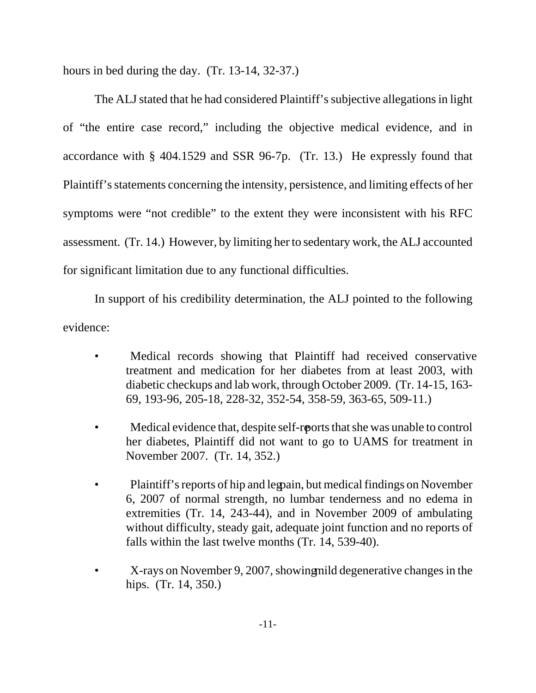hours in bed during the day. (Tr. 13-14, 32-37.)

The ALJ stated that he had considered Plaintiff's subjective allegations in light of "the entire case record," including the objective medical evidence, and in accordance with § 404.1529 and SSR 96-7p. (Tr. 13.) He expressly found that Plaintiff's statements concerning the intensity, persistence, and limiting effects of her symptoms were "not credible" to the extent they were inconsistent with his RFC assessment. (Tr. 14.) However, by limiting her to sedentary work, the ALJ accounted for significant limitation due to any functional difficulties.

In support of his credibility determination, the ALJ pointed to the following evidence:

- Medical records showing that Plaintiff had received conservative treatment and medication for her diabetes from at least 2003, with diabetic checkups and lab work, through October 2009. (Tr. 14-15, 163- 69, 193-96, 205-18, 228-32, 352-54, 358-59, 363-65, 509-11.)
- Medical evidence that, despite self-roports that she was unable to control her diabetes, Plaintiff did not want to go to UAMS for treatment in November 2007. (Tr. 14, 352.)
- Plaintiff's reports of hip and legoain, but medical findings on November 6, 2007 of normal strength, no lumbar tenderness and no edema in extremities (Tr. 14, 243-44), and in November 2009 of ambulating without difficulty, steady gait, adequate joint function and no reports of falls within the last twelve months (Tr. 14, 539-40).
- X-rays on November 9, 2007, showing mild degenerative changes in the hips. (Tr. 14, 350.)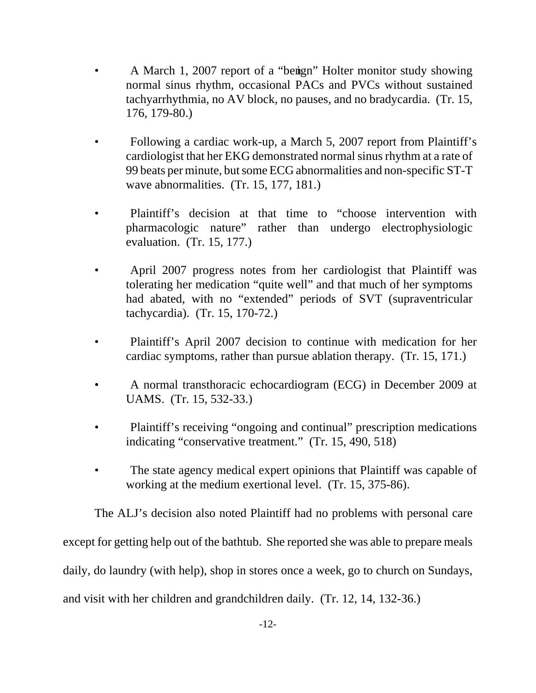- A March 1, 2007 report of a "benign" Holter monitor study showing normal sinus rhythm, occasional PACs and PVCs without sustained tachyarrhythmia, no AV block, no pauses, and no bradycardia. (Tr. 15, 176, 179-80.)
- Following a cardiac work-up, a March 5, 2007 report from Plaintiff's cardiologist that her EKG demonstrated normal sinus rhythm at a rate of 99 beats per minute, but some ECG abnormalities and non-specific ST-T wave abnormalities. (Tr. 15, 177, 181.)
- Plaintiff's decision at that time to "choose intervention with pharmacologic nature" rather than undergo electrophysiologic evaluation. (Tr. 15, 177.)
- April 2007 progress notes from her cardiologist that Plaintiff was tolerating her medication "quite well" and that much of her symptoms had abated, with no "extended" periods of SVT (supraventricular tachycardia). (Tr. 15, 170-72.)
- Plaintiff's April 2007 decision to continue with medication for her cardiac symptoms, rather than pursue ablation therapy. (Tr. 15, 171.)
- A normal transthoracic echocardiogram (ECG) in December 2009 at UAMS. (Tr. 15, 532-33.)
- Plaintiff's receiving "ongoing and continual" prescription medications indicating "conservative treatment." (Tr. 15, 490, 518)
- The state agency medical expert opinions that Plaintiff was capable of working at the medium exertional level. (Tr. 15, 375-86).

The ALJ's decision also noted Plaintiff had no problems with personal care

except for getting help out of the bathtub. She reported she was able to prepare meals

daily, do laundry (with help), shop in stores once a week, go to church on Sundays,

and visit with her children and grandchildren daily. (Tr. 12, 14, 132-36.)